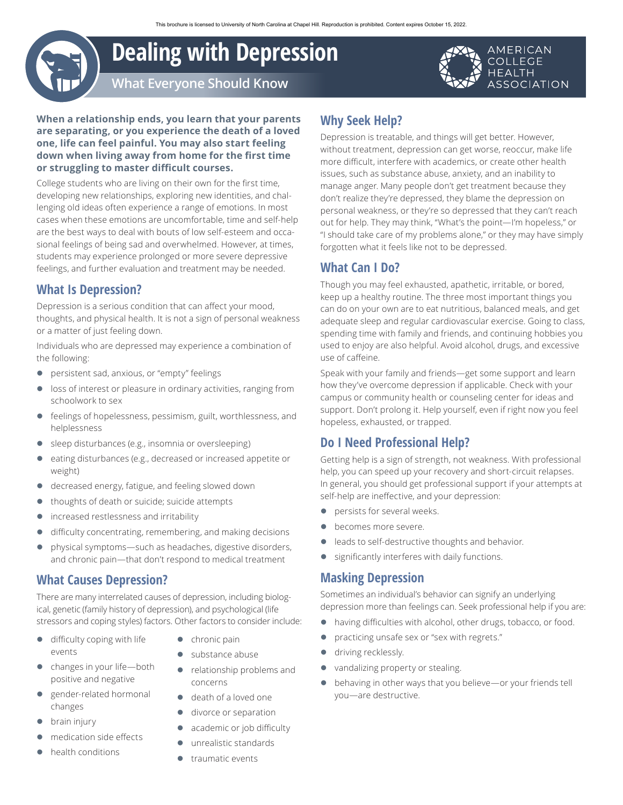# **Dealing with Depression**

AMERICAN **COLLEGE HEALTH ASSOCIATION** 

**What Everyone Should Know**

**When a relationship ends, you learn that your parents are separating, or you experience the death of a loved one, life can feel painful. You may also start feeling down when living away from home for the first time or struggling to master difficult courses.**

College students who are living on their own for the first time, developing new relationships, exploring new identities, and challenging old ideas often experience a range of emotions. In most cases when these emotions are uncomfortable, time and self-help are the best ways to deal with bouts of low self-esteem and occasional feelings of being sad and overwhelmed. However, at times, students may experience prolonged or more severe depressive feelings, and further evaluation and treatment may be needed.

# **What Is Depression?**

Depression is a serious condition that can affect your mood, thoughts, and physical health. It is not a sign of personal weakness or a matter of just feeling down.

Individuals who are depressed may experience a combination of the following:

- **•** persistent sad, anxious, or "empty" feelings
- loss of interest or pleasure in ordinary activities, ranging from schoolwork to sex
- feelings of hopelessness, pessimism, guilt, worthlessness, and helplessness
- sleep disturbances (e.g., insomnia or oversleeping)
- eating disturbances (e.g., decreased or increased appetite or weight)
- **•** decreased energy, fatigue, and feeling slowed down
- thoughts of death or suicide; suicide attempts
- **•** increased restlessness and irritability
- **•** difficulty concentrating, remembering, and making decisions
- physical symptoms—such as headaches, digestive disorders, and chronic pain—that don't respond to medical treatment

#### **What Causes Depression?**

There are many interrelated causes of depression, including biological, genetic (family history of depression), and psychological (life stressors and coping styles) factors. Other factors to consider include:

- $\bullet$  difficulty coping with life events
- $\bullet$  changes in your life—both positive and negative
- gender-related hormonal changes
- brain injury
- medication side effects
- z health conditions
- $\bullet$  chronic pain
- substance abuse
- relationship problems and concerns
- death of a loved one
- **•** divorce or separation
- academic or job difficulty
- unrealistic standards
- $\bullet$  traumatic events

# **Why Seek Help?**

Depression is treatable, and things will get better. However, without treatment, depression can get worse, reoccur, make life more difficult, interfere with academics, or create other health issues, such as substance abuse, anxiety, and an inability to manage anger. Many people don't get treatment because they don't realize they're depressed, they blame the depression on personal weakness, or they're so depressed that they can't reach out for help. They may think, "What's the point—I'm hopeless," or "I should take care of my problems alone," or they may have simply forgotten what it feels like not to be depressed.

### **What Can I Do?**

Though you may feel exhausted, apathetic, irritable, or bored, keep up a healthy routine. The three most important things you can do on your own are to eat nutritious, balanced meals, and get adequate sleep and regular cardiovascular exercise. Going to class, spending time with family and friends, and continuing hobbies you used to enjoy are also helpful. Avoid alcohol, drugs, and excessive use of caffeine.

Speak with your family and friends—get some support and learn how they've overcome depression if applicable. Check with your campus or community health or counseling center for ideas and support. Don't prolong it. Help yourself, even if right now you feel hopeless, exhausted, or trapped.

### **Do I Need Professional Help?**

Getting help is a sign of strength, not weakness. With professional help, you can speed up your recovery and short-circuit relapses. In general, you should get professional support if your attempts at self-help are ineffective, and your depression:

- **•** persists for several weeks.
- becomes more severe.
- leads to self-destructive thoughts and behavior.
- **•** significantly interferes with daily functions.

#### **Masking Depression**

Sometimes an individual's behavior can signify an underlying depression more than feelings can. Seek professional help if you are:

- having difficulties with alcohol, other drugs, tobacco, or food.
- **•** practicing unsafe sex or "sex with regrets."
- driving recklessly.
- vandalizing property or stealing.
- behaving in other ways that you believe—or your friends tell you—are destructive.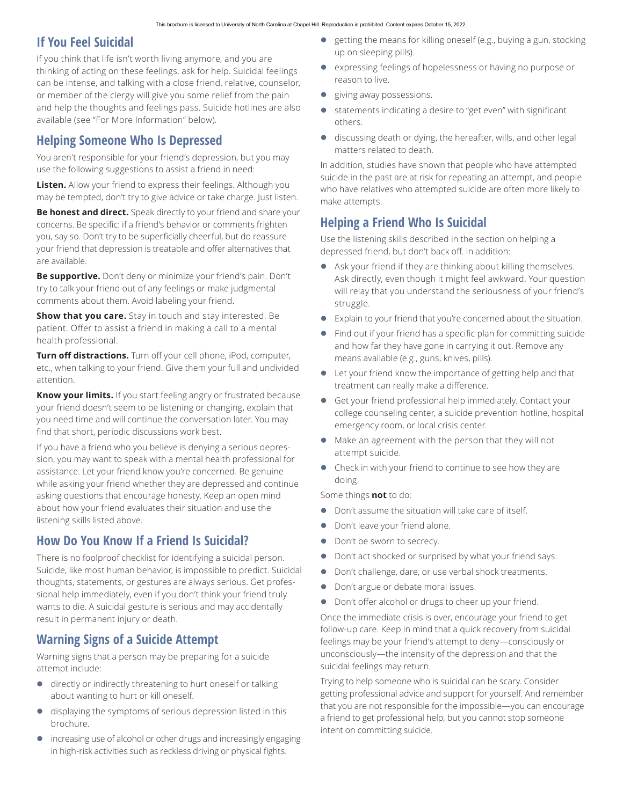## **If You Feel Suicidal**

If you think that life isn't worth living anymore, and you are thinking of acting on these feelings, ask for help. Suicidal feelings can be intense, and talking with a close friend, relative, counselor, or member of the clergy will give you some relief from the pain and help the thoughts and feelings pass. Suicide hotlines are also available (see "For More Information" below).

## **Helping Someone Who Is Depressed**

You aren't responsible for your friend's depression, but you may use the following suggestions to assist a friend in need:

**Listen.** Allow your friend to express their feelings. Although you may be tempted, don't try to give advice or take charge. Just listen.

**Be honest and direct.** Speak directly to your friend and share your concerns. Be specific: if a friend's behavior or comments frighten you, say so. Don't try to be superficially cheerful, but do reassure your friend that depression is treatable and offer alternatives that are available.

**Be supportive.** Don't deny or minimize your friend's pain. Don't try to talk your friend out of any feelings or make judgmental comments about them. Avoid labeling your friend.

**Show that you care.** Stay in touch and stay interested. Be patient. Offer to assist a friend in making a call to a mental health professional.

**Turn off distractions.** Turn off your cell phone, iPod, computer, etc., when talking to your friend. Give them your full and undivided attention.

**Know your limits.** If you start feeling angry or frustrated because your friend doesn't seem to be listening or changing, explain that you need time and will continue the conversation later. You may find that short, periodic discussions work best.

If you have a friend who you believe is denying a serious depression, you may want to speak with a mental health professional for assistance. Let your friend know you're concerned. Be genuine while asking your friend whether they are depressed and continue asking questions that encourage honesty. Keep an open mind about how your friend evaluates their situation and use the listening skills listed above.

# **How Do You Know If a Friend Is Suicidal?**

There is no foolproof checklist for identifying a suicidal person. Suicide, like most human behavior, is impossible to predict. Suicidal thoughts, statements, or gestures are always serious. Get professional help immediately, even if you don't think your friend truly wants to die. A suicidal gesture is serious and may accidentally result in permanent injury or death.

## **Warning Signs of a Suicide Attempt**

Warning signs that a person may be preparing for a suicide attempt include:

- **•** directly or indirectly threatening to hurt oneself or talking about wanting to hurt or kill oneself.
- displaying the symptoms of serious depression listed in this brochure.
- increasing use of alcohol or other drugs and increasingly engaging in high-risk activities such as reckless driving or physical fights.
- $\bullet$  getting the means for killing oneself (e.g., buying a gun, stocking up on sleeping pills).
- expressing feelings of hopelessness or having no purpose or reason to live.
- giving away possessions.
- statements indicating a desire to "get even" with significant others.
- **•** discussing death or dying, the hereafter, wills, and other legal matters related to death.

In addition, studies have shown that people who have attempted suicide in the past are at risk for repeating an attempt, and people who have relatives who attempted suicide are often more likely to make attempts.

# **Helping a Friend Who Is Suicidal**

Use the listening skills described in the section on helping a depressed friend, but don't back off. In addition:

- Ask your friend if they are thinking about killing themselves. Ask directly, even though it might feel awkward. Your question will relay that you understand the seriousness of your friend's struggle.
- **•** Explain to your friend that you're concerned about the situation.
- Find out if your friend has a specific plan for committing suicide and how far they have gone in carrying it out. Remove any means available (e.g., guns, knives, pills).
- Let your friend know the importance of getting help and that treatment can really make a difference.
- **•** Get your friend professional help immediately. Contact your college counseling center, a suicide prevention hotline, hospital emergency room, or local crisis center.
- Make an agreement with the person that they will not attempt suicide.
- Check in with your friend to continue to see how they are doing.

Some things **not** to do:

- Don't assume the situation will take care of itself.
- **•** Don't leave your friend alone.
- Don't be sworn to secrecy.
- **•** Don't act shocked or surprised by what your friend says.
- Don't challenge, dare, or use verbal shock treatments.
- Don't argue or debate moral issues.
- **•** Don't offer alcohol or drugs to cheer up your friend.

Once the immediate crisis is over, encourage your friend to get follow-up care. Keep in mind that a quick recovery from suicidal feelings may be your friend's attempt to deny—consciously or unconsciously—the intensity of the depression and that the suicidal feelings may return.

Trying to help someone who is suicidal can be scary. Consider getting professional advice and support for yourself. And remember that you are not responsible for the impossible—you can encourage a friend to get professional help, but you cannot stop someone intent on committing suicide.